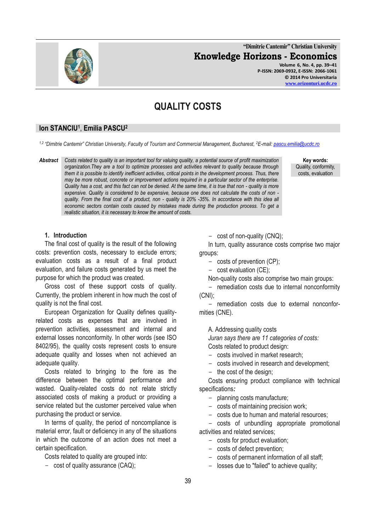**"Dimitrie Cantemir" Christian University Knowledge Horizons - Economics Volume 6, No. 4, pp. 39–41**

**P-ISSN: 2069-0932, E-ISSN: 2066-1061 © 2014 Pro Universitaria [www.orizonturi.ucdc.ro](http://www.orizonturi.ucdc.ro/)**

# **QUALITY COSTS**

## **Ion STANCIU<sup>1</sup>** , **Emilia PASCU<sup>2</sup>**

*1,2 "Dimitrie Cantemir" Christian University, Faculty of Tourism and Commercial Management, Bucharest, <sup>2</sup>E-mail[: pascu.emilia@ucdc.ro](mailto:pascu.emilia@ucdc.ro)*

*Abstract Costs related to quality is an important tool for valuing quality, a potential source of profit maximization organization.They are a tool to optimize processes and activities relevant to quality because through them it is possible to identify inefficient activities, critical points in the development process. Thus, there may be more robust, concrete or improvement actions required in a particular sector of the enterprise. Quality has a cost, and this fact can not be denied. At the same time, it is true that non - quality is more expensive. Quality is considered to be expensive, because one does not calculate the costs of non quality. From the final cost of a product, non - quality is 20% -35%. In accordance with this idea all economic sectors contain costs caused by mistakes made during the production process. To get a realistic situation, it is necessary to know the amount of costs.*

**Key words:** Quality, conformity, costs, evaluation

#### **1. Introduction**

The final cost of quality is the result of the following costs: prevention costs, necessary to exclude errors; evaluation costs as a result of a final product evaluation, and failure costs generated by us meet the purpose for which the product was created.

Gross cost of these support costs of quality. Currently, the problem inherent in how much the cost of quality is not the final cost.

European Organization for Quality defines qualityrelated costs as expenses that are involved in prevention activities, assessment and internal and external losses nonconformity. In other words (see ISO 8402/95), the quality costs represent costs to ensure adequate quality and losses when not achieved an adequate quality.

Costs related to bringing to the fore as the difference between the optimal performance and wasted. Quality-related costs do not relate strictly associated costs of making a product or providing a service related but the customer perceived value when purchasing the product or service.

In terms of quality, the period of noncompliance is material error, fault or deficiency in any of the situations in which the outcome of an action does not meet a certain specification.

Costs related to quality are grouped into:

- cost of quality assurance (CAQ);

- cost of non-quality (CNQ);

In turn, quality assurance costs comprise two major groups:

- costs of prevention (CP);
- cost evaluation (CE);

Non-quality costs also comprise two main groups:

- remediation costs due to internal nonconformity (CNI);

- remediation costs due to external nonconformities (CNE).

A. Addressing quality costs

*Juran says there are 11 categories of costs:* 

Costs related to product design:

- costs involved in market research;
- costs involved in research and development;
- the cost of the design;

Costs ensuring product compliance with technical specifications*:* 

- planning costs manufacture;
- costs of maintaining precision work;
- costs due to human and material resources;

- costs of unbundling appropriate promotional activities and related services;

- costs for product evaluation;
- costs of defect prevention;
- costs of permanent information of all staff;
- losses due to "failed" to achieve quality;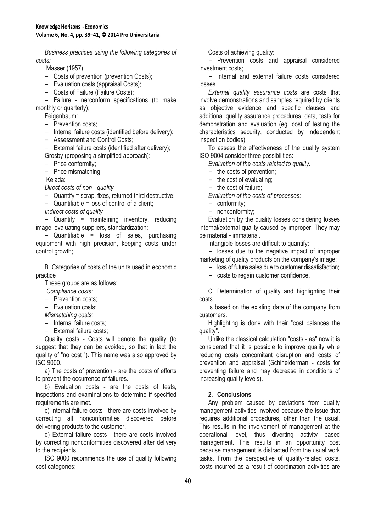*Business practices using the following categories of costs:*

Masser (1957)

- Costs of prevention (prevention Costs);
- Evaluation costs (appraisal Costs);
- Costs of Failure (Failure Costs);

- Failure - nerconform specifications (to make monthly or quarterly);

Feigenbaum:

- Prevention costs:

- Internal failure costs (identified before delivery);

- Assessment and Control Costs;

- External failure costs (identified after delivery); Grosby (proposing a simplified approach):

- Price conformity;
- Price mismatching;

Kelada:

*Direct costs of non - quality*

- Quantify = scrap, fixes, returned third destructive;
- Quantifiable = loss of control of a client;

*Indirect costs of quality*

- Quantify = maintaining inventory, reducing image, evaluating suppliers, standardization;

- Quantifiable = loss of sales, purchasing equipment with high precision, keeping costs under control growth;

B. Categories of costs of the units used in economic practice

These groups are as follows:

*Compliance costs:*

- Prevention costs;
- Evaluation costs;

*Mismatching costs:*

- Internal failure costs:
- External failure costs;

Quality costs - Costs will denote the quality (to suggest that they can be avoided, so that in fact the quality of "no cost "). This name was also approved by ISO 9000.

a) The costs of prevention - are the costs of efforts to prevent the occurrence of failures.

b) Evaluation costs - are the costs of tests, inspections and examinations to determine if specified requirements are met.

c) Internal failure costs - there are costs involved by correcting all nonconformities discovered before delivering products to the customer.

d) External failure costs - there are costs involved by correcting nonconformities discovered after delivery to the recipients.

ISO 9000 recommends the use of quality following cost categories:

Costs of achieving quality:

- Prevention costs and appraisal considered investment costs;

- Internal and external failure costs considered losses.

*External quality assurance costs* are costs that involve demonstrations and samples required by clients as objective evidence and specific clauses and additional quality assurance procedures, data, tests for demonstration and evaluation (eg, cost of testing the characteristics security, conducted by independent inspection bodies).

To assess the effectiveness of the quality system ISO 9004 consider three possibilities:

*Evaluation of the costs related to quality:*

the costs of prevention;

- the cost of evaluating;
- the cost of failure:

*Evaluation of the costs of processes:*

- conformity;
- nonconformity;

Evaluation by the quality losses considering losses internal/external quality caused by improper. They may be material - immaterial.

Intangible losses are difficult to quantify:

- losses due to the negative impact of improper marketing of quality products on the company's image;

- loss of future sales due to customer dissatisfaction;

- costs to regain customer confidence.

C. Determination of quality and highlighting their costs

Is based on the existing data of the company from customers.

Highlighting is done with their "cost balances the quality".

Unlike the classical calculation "costs - as" now it is considered that it is possible to improve quality while reducing costs concomitant disruption and costs of prevention and appraisal (Schineiderman - costs for preventing failure and may decrease in conditions of increasing quality levels).

### **2. Conclusions**

Any problem caused by deviations from quality management activities involved because the issue that requires additional procedures, other than the usual. This results in the involvement of management at the operational level, thus diverting activity based management. This results in an opportunity cost because management is distracted from the usual work tasks. From the perspective of quality-related costs, costs incurred as a result of coordination activities are